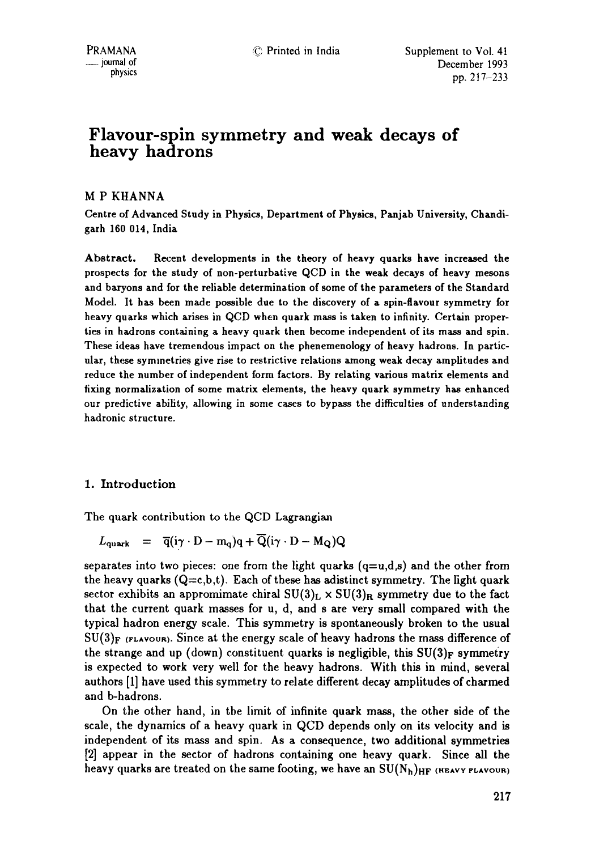# **Flavour-spin symmetry and weak decays of heavy hadrons**

## M P KHANNA

Centre of Advanced Study in Physics, Department of Physics, Panjab University, Chandigarh **160 014,** India

Abstract. Recent developments in the theory of heavy quarks have increased the prospects for the study of non-perturbative QCD in the weak decays of heavy mesons and baryons and for the reliable determination of some of the parameters of the Standard Model. It has been made possible due to the discovery of a spin-flavour symmetry for heavy quarks which arises in QCD when quark mass is taken to infinity. Certain properties in hadrons containing a heavy quark then become independent of its mass and spin. These ideas have tremendous impact on the phenemenology of heavy hadrons. In particular, these symmetries give rise to restrictive relations among weak decay amphtudes and reduce the number of independent form factors. By relating various matrix elements and fixing normalization of some matrix elements, the heavy quark symmetry has enhanced our predictive ability, allowing in some cascs to bypass the difficulties of understanding hadronic structure.

# 1. Introduction

The quark contribution to the QCD Lagrangian

$$
L_{\text{quark}} = \overline{q}(i\gamma \cdot D - m_q)q + \overline{Q}(i\gamma \cdot D - M_Q)Q
$$

separates into two pieces: one from the light quarks  $(q=u,d,s)$  and the other from the heavy quarks  $(Q=c,b,t)$ . Each of these has adistinct symmetry. The light quark sector exhibits an appromimate chiral  $SU(3)_L \times SU(3)_R$  symmetry due to the fact that the current quark masses for u, d, and s are very small compared with the typical hadron energy scale. This symmetry is spontaneously broken to the usual  $SU(3)$ <sub>F</sub> (FLAVOUR). Since at the energy scale of heavy hadrons the mass difference of the strange and up (down) constituent quarks is negligible, this  $SU(3)_F$  symmetry is expected to work very well for the heavy hadrons. With this in mind, several authors [1] have used this symmetry to relate different decay amplitudes of charmed and b-hadrons.

On the other hand, in the limit of infinite quark mass, the other side of the scale, the dynamics of a heavy quark in QCD depends only on its velocity and is independent of its mass and spin. As a consequence, two additional symmetries [2] appear in the sector of hadrons containing one heavy quark. Since all the heavy quarks are treated on the same footing, we have an  $SU(N_h)_{HF}$  (HEAVY FLAVOUR)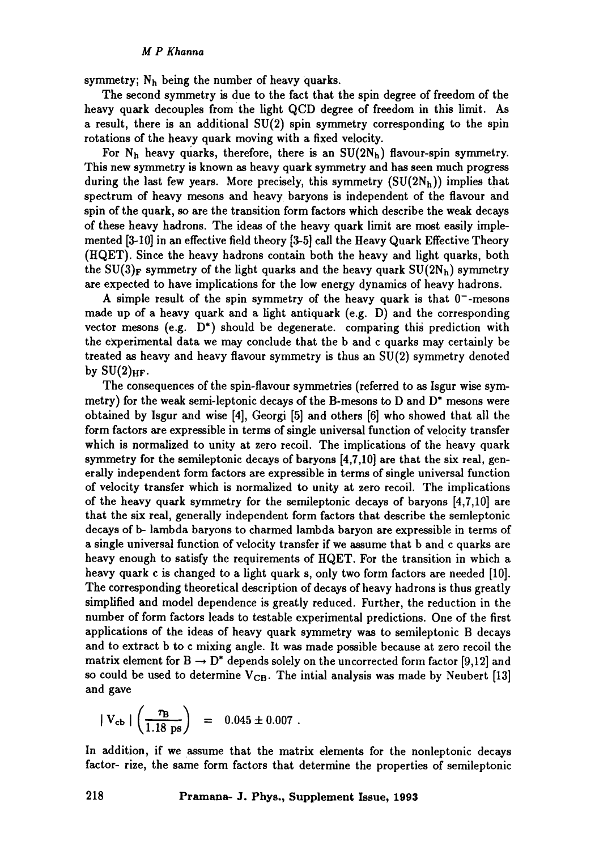symmetry;  $N_h$  being the number of heavy quarks.

The second symmetry is due to the fact that the spin degree of freedom of the heavy quark decouples from the light QCD degree of freedom in this limit. As a result, there is an additional  $SU(2)$  spin symmetry corresponding to the spin rotations of the heavy quark moving with a fixed velocity.

For  $N_h$  heavy quarks, therefore, there is an  $SU(2N_h)$  flavour-spin symmetry. This new symmetry is known as heavy quark symmetry and has seen much progress during the last few years. More precisely, this symmetry  $(SU(2N_h))$  implies that spectrum of heavy mesons and heavy baryons is independent of the flavour and spin of the quark, so are the transition form factors which describe the weak decays of these heavy hadrons. The ideas of the heavy quark limit are most easily implemented [3-10] in an effective field theory [3-5] call the Heavy Quark Effective Theory (HQET). Since the heavy hadrons contain both the heavy and light quarks, both the SU(3)<sub>F</sub> symmetry of the light quarks and the heavy quark  $SU(2N_h)$  symmetry are expected to have implications for the low energy dynamics of heavy hadrons.

A simple result of the spin symmetry of the heavy quark is that  $0^-$ -mesons made up of a heavy quark and a light antiquark (e.g. D) and the corresponding vector mesons (e.g.  $D^*$ ) should be degenerate, comparing this prediction with the experimental data we may conclude that the b and c quarks may certainly be treated as heavy and heavy flavour symmetry is thus an SU(2) symmetry denoted by  $SU(2)_{HF}$ .

The consequences of the spin-flavour symmetries (referred to as Isgur wise symmetry) for the weak semi-leptonic decays of the B-mesons to D and D\* mesons were obtained by Isgur and wise [4], Georgi [5] and others [6] who showed that all the form factors are expressible in terms of single universal function of velocity transfer which is normalized to unity at zero recoil. The implications of the heavy quark symmetry for the semileptonic decays of baryons [4,7,10] are that the six real, generally independent form factors are expressible in terms of single universal function of velocity transfer which is normalized to unity at zero recoil. The implications of the heavy quark symmetry for the semileptonic decays of baryons [4,7,10] are that the six real, generally independent form factors that describe the semleptonic decays of b- lambda baryons to charmed lambda baryon are expressible in terms of a single universal function of velocity transfer if we assume that b and c quarks are heavy enough to satisfy the requirements of HQET. For the transition in which a heavy quark c is changed to a light quark s, only two form factors are needed [10]. The corresponding theoretical description of decays of heavy hadrons is thus greatly simplified and model dependence is greatly reduced. Further, the reduction in the number of form factors leads to testable experimental predictions. One of the first applications of the ideas of heavy quark symmetry was to semileptonic B decays and to extract b to c mixing angle. It was made possible because at zero recoil the matrix element for  $B \to D^*$  depends solely on the uncorrected form factor [9,12] and so could be used to determine  $V_{CB}$ . The intial analysis was made by Neubert [13] and gave

$$
|V_{cb}| \left( \frac{\tau_B}{1.18 \text{ ps}} \right) = 0.045 \pm 0.007.
$$

In addition, if we assume that the matrix elements for the nonleptonic decays factor- rize, the same form factors that determine the properties of semileptonic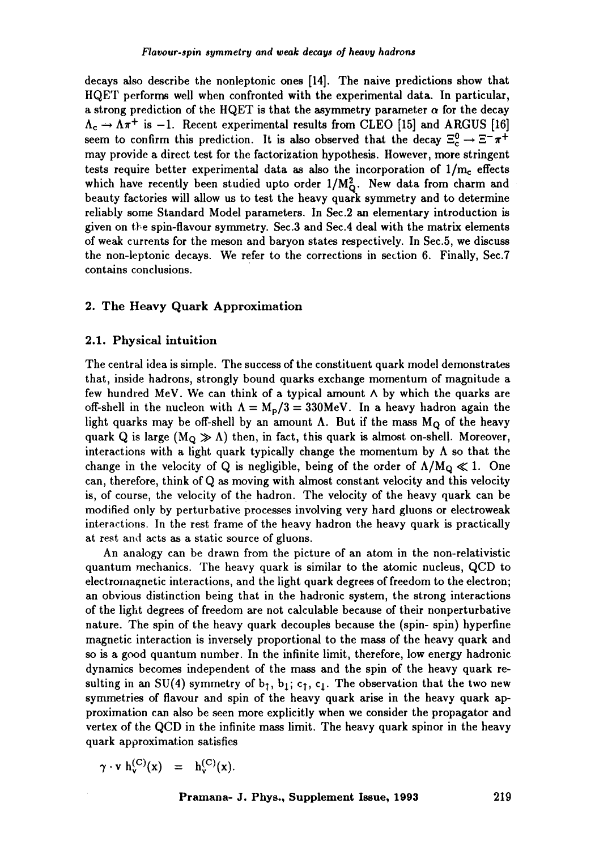decays also describe the nonleptonic ones [14]. The naive predictions show that HQET performs well when confronted with the experimental data. In particular, a strong prediction of the HQET is that the asymmetry parameter  $\alpha$  for the decay  $\Lambda_c \rightarrow \Lambda \pi^+$  is -1. Recent experimental results from CLEO [15] and ARGUS [16] seem to confirm this prediction. It is also observed that the decay  $\Xi_c^0 \rightarrow \Xi^- \pi^+$ may provide a direct test for the factorization hypothesis. However, more stringent tests require better experimental data as also the incorporation of  $1/m_c$  effects which have recently been studied upto order  $1/M_Q^2$ . New data from charm and beauty factories will allow us to test the heavy quark symmetry and to determine reliably some Standard Model parameters. In Sec.2 an elementary introduction is given on the spin-flavour symmetry. Sec.3 and Sec.4 deal with the matrix elements of weak currents for the meson and baryon states respectively. In Sec.5, we discuss the non-leptonic decays. We refer to the corrections in section 6. Finally, Sec.7 contains conclusions.

## 2. The Heavy Quark Approximation

#### **2.1.** Physical intuition

The central idea is simple. The success of the constituent quark model demonstrates that, inside hadrons, strongly bound quarks exchange momentum of magnitude a few hundred MeV. We can think of a typical amount  $\wedge$  by which the quarks are off-shell in the nucleon with  $\Lambda = M_{\rm p}/3 = 330$ MeV. In a heavy hadron again the light quarks may be off-shell by an amount  $\Lambda$ . But if the mass  $M_{\Omega}$  of the heavy quark Q is large  $(M<sub>O</sub> \gg \Lambda)$  then, in fact, this quark is almost on-shell. Moreover, interactions with a light quark typically change the momentum by  $\Lambda$  so that the change in the velocity of Q is negligible, being of the order of  $\Lambda/M_{\rm O}\ll 1$ . One can, therefore, think of Q as moving with almost constant velocity and this velocity is, of course, the velocity of the hadron. The velocity of the heavy quark can be modified only by perturbative processes involving very hard gluons or electroweak interactions. In the rest frame of the heavy hadron the heavy quark is practically at rest and acts as a static source of gluons.

An analogy can be drawn from the picture of an atom in the non-relativistic quantum mechanics. The heavy quark is similar to the atomic nucleus, QCD to electromagnetic interactions, and the light quark degrees of freedom to the electron; an obvious distinction being that in the hadronic system, the strong interactions of the light degrees of freedom are not calculable because of their nonperturbative nature. The spin of the heavy quark decouples because the (spin-spin) hyperfine magnetic interaction is inversely proportional to the mass of the heavy quark and so is a good quantum number. In the infinite limit, therefore, low energy hadronic dynamics becomes independent of the mass and the spin of the heavy quark resulting in an SU(4) symmetry of  $b_1$ ,  $b_1$ ; c<sub>1</sub>, c<sub>1</sub>. The observation that the two new symmetries of flavour and spin of the heavy quark arise in the heavy quark approximation can also be seen more explicitly when we consider the propagator and vertex of the QCD in the infinite mass limit. The heavy quark spinor in the heavy quark approximation satisfies

$$
\gamma \cdot v \, h_v^{(C)}(x) \quad = \quad h_v^{(C)}(x).
$$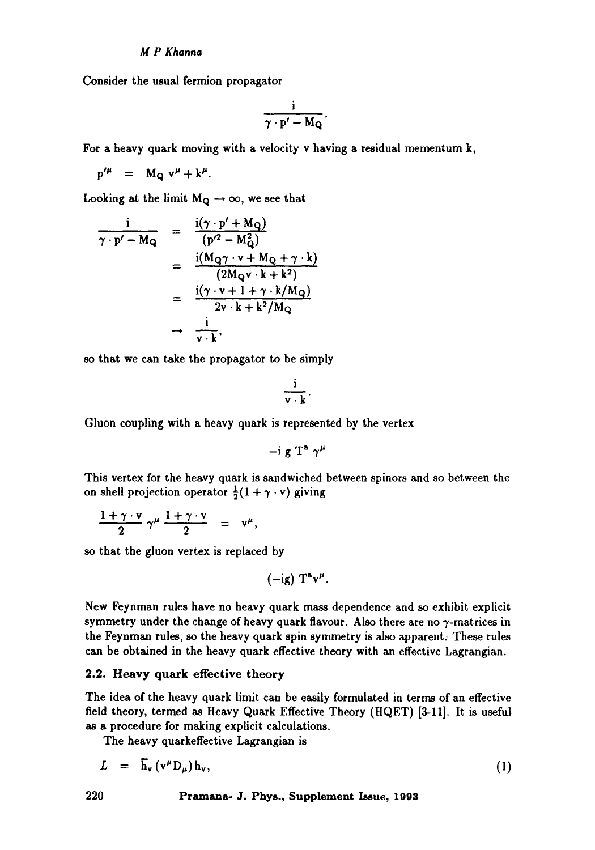## *M P Khanna*

Consider the usual fermion propagator

$$
\frac{i}{\gamma\cdot p'-M_Q}.
$$

For a heavy quark moving with a velocity v having a residual mementum k,

 $p'' = M_Q v'' + k^{\mu}.$ 

Looking at the limit  $M_Q \rightarrow \infty$ , we see that

$$
\frac{\mathrm{i}}{\gamma \cdot \mathrm{p'} - \mathrm{M}_{\mathrm{Q}}} = \frac{\mathrm{i}(\gamma \cdot \mathrm{p'} + \mathrm{M}_{\mathrm{Q}})}{(\mathrm{p'}^2 - \mathrm{M}_{\mathrm{Q}}^2)}
$$
\n
$$
= \frac{\mathrm{i}(\mathrm{M}_{\mathrm{Q}} \gamma \cdot \mathrm{v} + \mathrm{M}_{\mathrm{Q}} + \gamma \cdot \mathrm{k})}{(2\mathrm{M}_{\mathrm{Q}} \mathrm{v} \cdot \mathrm{k} + \mathrm{k}^2)}
$$
\n
$$
= \frac{\mathrm{i}(\gamma \cdot \mathrm{v} + 1 + \gamma \cdot \mathrm{k}/\mathrm{M}_{\mathrm{Q}})}{2\mathrm{v} \cdot \mathrm{k} + \mathrm{k}^2/\mathrm{M}_{\mathrm{Q}}}
$$
\n
$$
\rightarrow \frac{\mathrm{i}}{\mathrm{v} \cdot \mathrm{k}},
$$

so that we can take the propagator to be simply

$$
\frac{i}{\mathbf{v}\cdot\mathbf{k}}.
$$

Gluon coupling with a heavy quark is represented by the vertex

$$
-i g T^a \gamma^\mu
$$

This vertex for the heavy quark is sandwiched between spinors and so between the on shell projection operator  $\frac{1}{2}(1 + \gamma \cdot v)$  giving

$$
\frac{1+\gamma\cdot v}{2}\,\gamma^{\mu}\,\frac{1+\gamma\cdot v}{2} = v^{\mu},
$$

so that the gluon vertex is replaced by

 $(-ig) T^a v^{\mu}.$ 

New Feynman rules have no heavy quark mass dependence and so exhibit explicit symmetry under the change of heavy quark flavour. Also there are no  $\gamma$ -matrices in the Feynman rules, so the heavy quark spin symmetry is also apparent; These rules can be obtained in the heavy quark effective theory with an effective Lagrangian.

#### 2.2. Heavy quark effective theory

The idea of the heavy quark limit can be easily formulated in terms of an effective field theory, termed as Heavy Quark Effective Theory (HQET) [3-11]. It is useful as a procedure for making explicit calculations.

The heavy quarkeffective Lagrangian is

$$
L = \overline{\mathbf{h}}_{\mathbf{v}} (\mathbf{v}^{\mu} \mathbf{D}_{\mu}) \mathbf{h}_{\mathbf{v}}, \tag{1}
$$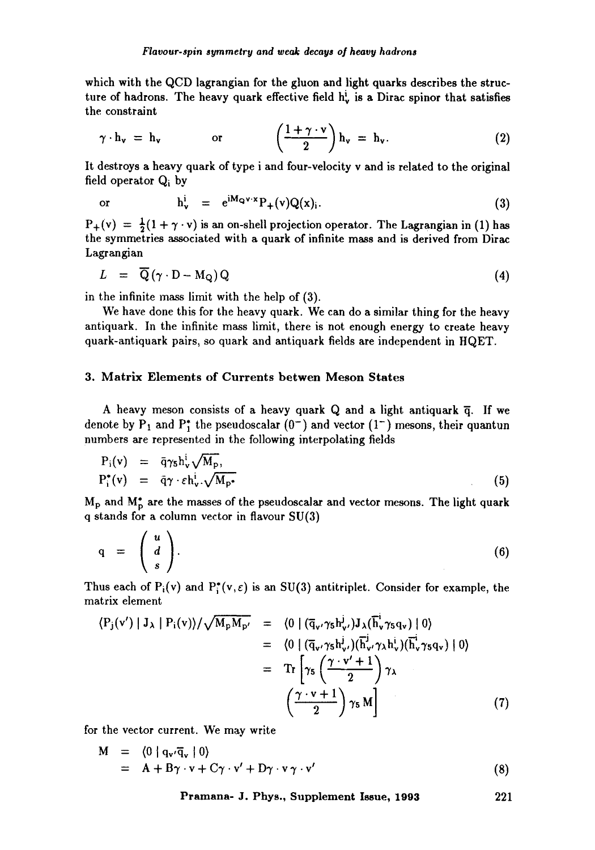which with the QCD lagrangian for the gluon and light quarks describes the structure of hadrons. The heavy quark effective field  $h_v^{\dagger}$  is a Dirac spinor that satisfies the constraint

$$
\gamma \cdot h_v = h_v
$$
 or  $\left(\frac{1+\gamma \cdot v}{2}\right) h_v = h_v.$  (2)

It destroys a heavy quark of type i and four-velocity v and is related to the original field operator Qi by

or 
$$
h_v^i = e^{iM_{Q}v \cdot x} P_+(v) Q(x)_i.
$$
 (3)

 $P_+(v) = \frac{1}{2}(1 + \gamma \cdot v)$  is an on-shell projection operator. The Lagrangian in (1) has the symmetries associated with a quark of infinite mass and is derived from Dirac Lagrangian

$$
L = \overline{Q}(\gamma \cdot D - M_Q)Q \tag{4}
$$

in the infinite mass limit with the help of (3).

We have done this for the heavy quark. We can do a similar thing for the heavy antiquark. In the infinite mass limit, there is not enough energy to create heavy quark-antiquark pairs, so quark and antiquark fields are independent in HQET.

## 3. Matrix Elements of Currents betwen Meson States

A heavy meson consists of a heavy quark Q and a light antiquark  $\bar{q}$ . If we denote by  $P_1$  and  $P_1^*$  the pseudoscalar  $(0^-)$  and vector  $(1^-)$  mesons, their quantun numbers are represented in the following interpolating fields

$$
P_i(v) = \bar{q}\gamma_5 h_v^1 \sqrt{M_p},
$$
  
\n
$$
P_i^*(v) = \bar{q}\gamma \cdot \varepsilon h_v^i \sqrt{M_p^*}
$$
\n(5)

Mp and Mp are the *masses* of the pseudoscalar and vector mesons. The light quark q stands for a column vector in flavour SU(3)

$$
q = \begin{pmatrix} u \\ d \\ s \end{pmatrix}.
$$
 (6)

Thus each of  $P_i(v)$  and  $P_i^*(v, \varepsilon)$  is an SU(3) antitriplet. Consider for example, the matrix element

$$
\langle P_{j}(v') | J_{\lambda} | P_{i}(v) \rangle / \sqrt{M_{p} M_{p'}} = \langle 0 | (\overline{q}_{v'} \gamma_{5} h_{v'}^{j}) J_{\lambda}(\overline{h}_{v}^{j} \gamma_{5} q_{v}) | 0 \rangle
$$
  
\n
$$
= \langle 0 | (\overline{q}_{v'} \gamma_{5} h_{v'}^{j}) (\overline{h}_{v'}^{j} \gamma_{\lambda} h_{v}^{i}) (\overline{h}_{v}^{j} \gamma_{5} q_{v}) | 0 \rangle
$$
  
\n
$$
= \operatorname{Tr} \left[ \gamma_{5} \left( \frac{\gamma \cdot v' + 1}{2} \right) \gamma_{\lambda} \right.
$$
  
\n
$$
\left( \frac{\gamma \cdot v + 1}{2} \right) \gamma_{5} M \right]
$$
 (7)

for the vector current. We may write

$$
M = \langle 0 | q_{v'} \overline{q}_{v} | 0 \rangle
$$
  
= A + B $\gamma \cdot v + C\gamma \cdot v' + D\gamma \cdot v \gamma \cdot v'$  (8)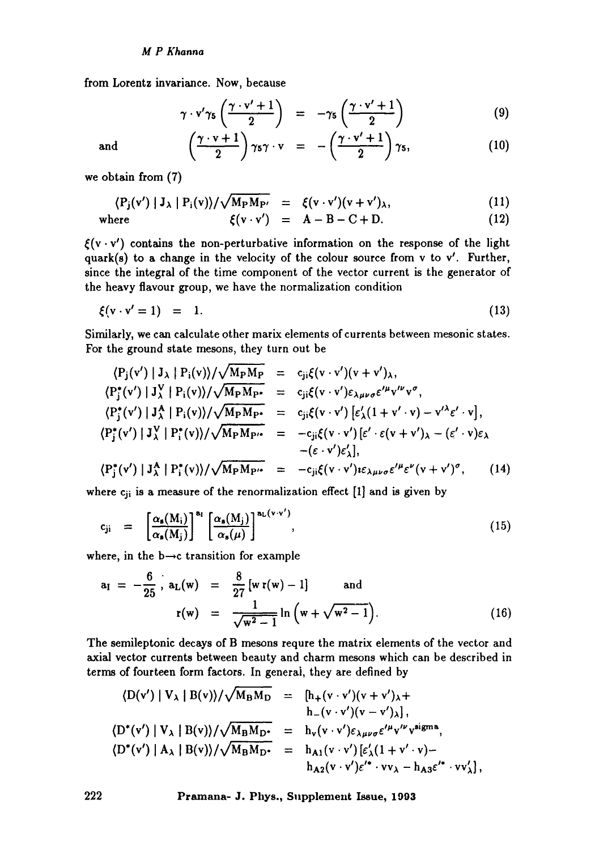## *M P Khanna*

from Lorentz invariance. Now, because

$$
\gamma \cdot \mathbf{v}' \gamma_5 \left( \frac{\gamma \cdot \mathbf{v}' + 1}{2} \right) = -\gamma_5 \left( \frac{\gamma \cdot \mathbf{v}' + 1}{2} \right) \tag{9}
$$

and 
$$
\left(\frac{\gamma \cdot v + 1}{2}\right) \gamma_5 \gamma \cdot v = -\left(\frac{\gamma \cdot v' + 1}{2}\right) \gamma_5,
$$
 (10)

we obtain from (7)

$$
\langle P_j(v') | J_\lambda | P_i(v) \rangle / \sqrt{M_P M_{P'}} = \xi(v \cdot v') (v + v')_\lambda, \qquad (11)
$$

where 
$$
\xi(v \cdot v') = A - B - C + D. \qquad (12)
$$

 $\xi(v \cdot v')$  contains the non-perturbative information on the response of the light quark(s) to a change in the velocity of the colour source from v to v'. Further, since the integral of the time component of the vector current is the generator of the heavy flavour group, we have the normalization condition

$$
\xi(\mathbf{v} \cdot \mathbf{v}' = 1) = 1. \tag{13}
$$

Similarly, we can calculate other marix elements of currents between mesonic states. For the ground state mesons, they turn out be

$$
\langle P_{j}(v') | J_{\lambda} | P_{i}(v) \rangle / \sqrt{M_{P}M_{P}} = c_{ji}\xi(v \cdot v')(v + v')_{\lambda},
$$
  
\n
$$
\langle P_{j}^{*}(v') | J_{\lambda}^{V} | P_{i}(v) \rangle / \sqrt{M_{P}M_{P'}} = c_{ji}\xi(v \cdot v')\epsilon_{\lambda\mu\nu\sigma}\epsilon'^{\mu}v'^{\nu}v^{\sigma},
$$
  
\n
$$
\langle P_{j}^{*}(v') | J_{\lambda}^{A} | P_{i}(v) \rangle / \sqrt{M_{P}M_{P'}} = c_{ji}\xi(v \cdot v') [\epsilon'_{\lambda}(1 + v' \cdot v) - v'^{\lambda}\epsilon' \cdot v],
$$
  
\n
$$
\langle P_{j}^{*}(v') | J_{\lambda}^{V} | P_{i}^{*}(v) \rangle / \sqrt{M_{P}M_{P'}} = -c_{ji}\xi(v \cdot v') [\epsilon' \cdot \epsilon(v + v')_{\lambda} - (\epsilon' \cdot v)\epsilon_{\lambda}
$$
  
\n
$$
-(\epsilon \cdot v')\epsilon'_{\lambda}],
$$
  
\n
$$
\langle P_{j}^{*}(v') | J_{\lambda}^{A} | P_{i}^{*}(v) \rangle / \sqrt{M_{P}M_{P'}} = -c_{ji}\xi(v \cdot v')\epsilon_{\lambda\mu\nu\sigma}\epsilon'^{\mu}\epsilon^{\nu}(v + v')^{\sigma},
$$
(14)

where  $c_{ii}$  is a measure of the renormalization effect [1] and is given by

$$
c_{ji} = \left[ \frac{\alpha_s(M_i)}{\alpha_s(M_j)} \right]^{a_i} \left[ \frac{\alpha_s(M_j)}{\alpha_s(\mu)} \right]^{a_L(\nu \cdot \nu')}
$$
\n(15)

where, in the  $b \rightarrow c$  transition for example

$$
a_{I} = -\frac{6}{25} \t, a_{L}(w) = \frac{8}{27} [w r(w) - 1] \t and\r(w) = \frac{1}{\sqrt{w^{2} - 1}} \ln (w + \sqrt{w^{2} - 1}). \t (16)
$$

The semileptonic decays of B mesons requre the matrix elements of the vector and axial vector currents between beauty and charm mesons which can be described in terms of fourteen form factors. In generai, they are defined by

$$
\langle D(v') | V_{\lambda} | B(v) \rangle / \sqrt{M_B M_D} = [h_{+}(v \cdot v')(v + v')_{\lambda} + h_{-}(v \cdot v')(v - v')_{\lambda}],
$$
  
\n
$$
\langle D^{*}(v') | V_{\lambda} | B(v) \rangle / \sqrt{M_B M_D} = h_{v}(v \cdot v') \varepsilon_{\lambda \mu \nu \sigma} \varepsilon^{\mu} v^{\nu} v^{\text{sigma}},
$$
  
\n
$$
\langle D^{*}(v') | A_{\lambda} | B(v) \rangle / \sqrt{M_B M_D} = h_{A1}(v \cdot v') [\varepsilon'_{\lambda} (1 + v' \cdot v) - h_{A2}(v \cdot v') \varepsilon'^{*} \cdot v v_{\lambda} - h_{A3} \varepsilon'^{*} \cdot v v_{\lambda}'],
$$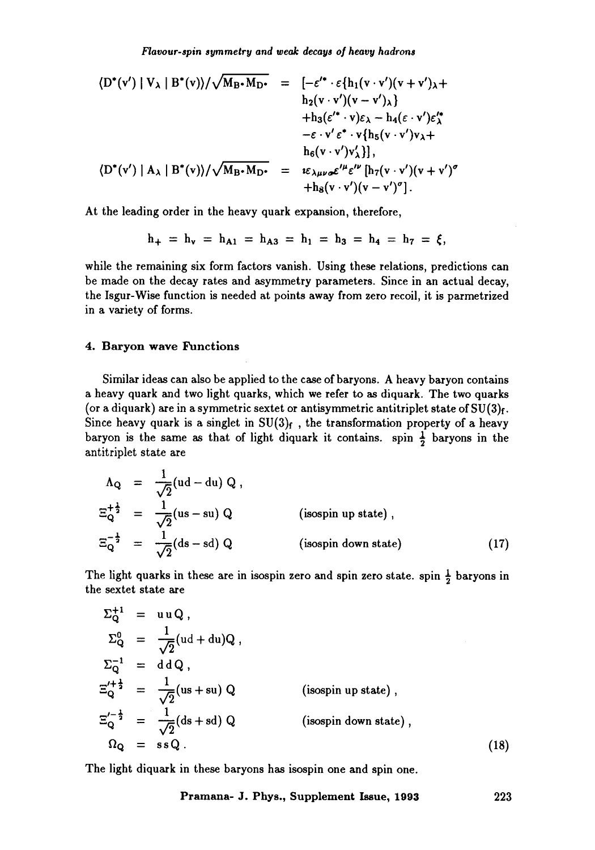$$
\langle D^*(v') | V_{\lambda} | B^*(v) \rangle / \sqrt{M_{B^*} M_{D^*}} = [-\varepsilon'^* \cdot \varepsilon \{ h_1(v \cdot v')(v + v')_{\lambda} + h_2(v \cdot v')(v - v')_{\lambda} \} + h_3(\varepsilon'^* \cdot v)\varepsilon_{\lambda} - h_4(\varepsilon \cdot v')\varepsilon'^*_{\lambda} - \varepsilon \cdot v' \varepsilon^* \cdot v \{ h_5(v \cdot v')_{\lambda} \} \n\langle D^*(v') | A_{\lambda} | B^*(v) \rangle / \sqrt{M_{B^*} M_{D^*}} = \varepsilon_{\lambda \mu \nu \sigma} \varepsilon'^{\mu} \varepsilon^{\nu \nu} \left[ h_7(v \cdot v')(v + v')^{\sigma} \right. + h_8(v \cdot v')(v - v')^{\sigma}].
$$

At the leading order in the heavy quark expansion, therefore,

$$
h_+ = h_v = h_{A1} = h_{A3} = h_1 = h_3 = h_4 = h_7 = \xi,
$$

while the remaining six form factors vanish. Using these relations, predictions can be made on the decay rates and asymmetry parameters. Since in an actual decay, the Isgur-Wise function is needed at points away from zero recoil, it is parmetrized in a variety of forms.

#### **4. Baryon wave Functions**

Similar ideas can also be applied to the case of baryons. A heavy baryon contains a heavy quark and two light quarks, which we refer to as diquark. The two quarks (or a diquark) are in a symmetric sextet or antisymmetric antitriplet state of  $SU(3)<sub>f</sub>$ . Since heavy quark is a singlet in  $SU(3)_f$ , the transformation property of a heavy baryon is the same as that of light diquark it contains. spin  $\frac{1}{2}$  baryons in the antitriplet state are

$$
\Lambda_{Q} = \frac{1}{\sqrt{2}} (ud - du) Q,
$$
  
\n
$$
\Xi_{Q}^{+\frac{1}{2}} = \frac{1}{\sqrt{2}} (us - su) Q \qquad \text{(isospin up state)},
$$
  
\n
$$
\Xi_{Q}^{-\frac{1}{2}} = \frac{1}{\sqrt{2}} (ds - sd) Q \qquad \text{(isospin down state)} \qquad (17)
$$

The light quarks in these are in isospin zero and spin zero state, spin  $\frac{1}{2}$  baryons in the sextet state are

$$
\Sigma_{Q}^{+1} = uuQ,
$$
  
\n
$$
\Sigma_{Q}^{0} = \frac{1}{\sqrt{2}}(ud + du)Q,
$$
  
\n
$$
\Sigma_{Q}^{-1} = ddQ,
$$
  
\n
$$
\Xi_{Q}^{\prime + \frac{1}{2}} = \frac{1}{\sqrt{2}}(us + su)Q \qquad \text{(isospin up state)},
$$
  
\n
$$
\Xi_{Q}^{\prime - \frac{1}{2}} = \frac{1}{\sqrt{2}}(ds + sd)Q \qquad \text{(isospin down state)},
$$
  
\n
$$
\Omega_{Q} = ssQ.
$$
 (18)

The light diquark in these baryons has isospin one and spin one.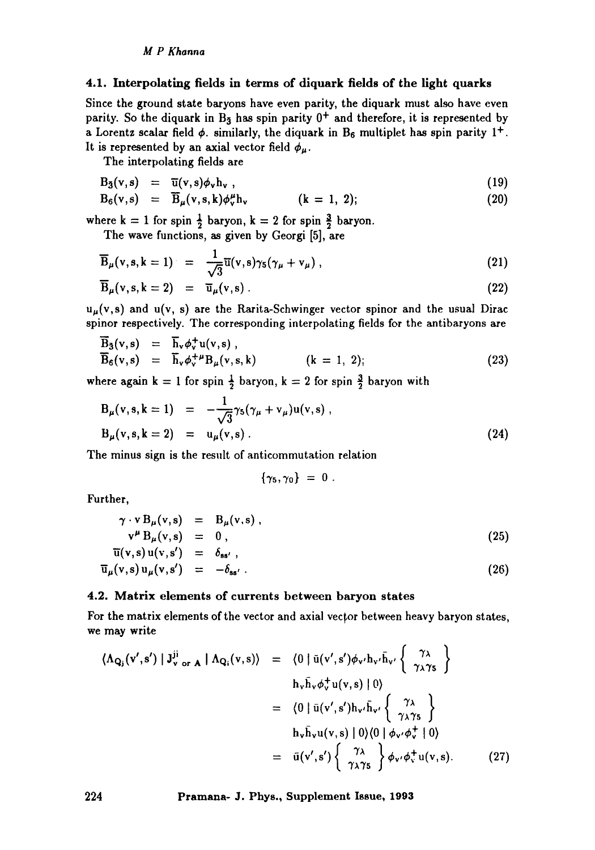## 4.1. Interpolating fields in terms of diquark fields of the light quarks

Since the ground state baryons have even parity, the diquark must also have even parity. So the diquark in  $B_5$  has spin parity  $0^+$  and therefore, it is represented by a Lorentz scalar field  $\phi$ . similarly, the diquark in B<sub>6</sub> multiplet has spin parity 1<sup>+</sup>. It is represented by an axial vector field  $\phi_{\mu}$ .

The interpolating fields are

$$
B_3(v,s) = \overline{u}(v,s)\phi_v h_v , \qquad (19)
$$

$$
B_6(v,s) = \overline{B}_{\mu}(v,s,k)\phi_v^{\mu}h_v \qquad (k = 1, 2); \qquad (20)
$$

where  $k = 1$  for spin  $\frac{1}{2}$  baryon,  $k = 2$  for spin  $\frac{3}{2}$  baryon.

The wave functions, as given by Georgi [5], are

$$
\overline{\mathbf{B}}_{\mu}(\mathbf{v},\mathbf{s},\mathbf{k}=1) = \frac{1}{\sqrt{3}}\overline{\mathbf{u}}(\mathbf{v},\mathbf{s})\gamma_5(\gamma_{\mu}+\mathbf{v}_{\mu}), \qquad (21)
$$

$$
\overline{\mathbf{B}}_{\mu}(\mathbf{v}, \mathbf{s}, \mathbf{k} = 2) = \overline{\mathbf{u}}_{\mu}(\mathbf{v}, \mathbf{s}). \tag{22}
$$

 $u_{\mu}(v,s)$  and  $u(v, s)$  are the Rarita-Schwinger vector spinor and the usual Dirac spinor respectively. The corresponding interpolating fields for the antibaryons are

$$
\overline{B}_3(v,s) = \overline{h}_v \phi_v^+ u(v,s), \n\overline{B}_6(v,s) = \overline{h}_v \phi_v^{+ \mu} B_{\mu}(v,s,k) \qquad (k = 1, 2);
$$
\n(23)

where again  $k = 1$  for spin  $\frac{1}{2}$  baryon,  $k = 2$  for spin  $\frac{3}{2}$  baryon with

$$
B_{\mu}(v, s, k = 1) = -\frac{1}{\sqrt{3}}\gamma_{5}(\gamma_{\mu} + v_{\mu})u(v, s) ,
$$
  
\n
$$
B_{\mu}(v, s, k = 2) = u_{\mu}(v, s) .
$$
\n(24)

The minus sign is the result of anticommutation relation

$$
\{\gamma_5,\gamma_0\}~=~0~.
$$

Further,

$$
\begin{array}{rcl}\n\gamma \cdot \mathbf{v} \, \mathbf{B}_{\mu}(\mathbf{v}, \mathbf{s}) & = & \mathbf{B}_{\mu}(\mathbf{v}, \mathbf{s}) \,, \\
\mathbf{v}^{\mu} \, \mathbf{B}_{\mu}(\mathbf{v}, \mathbf{s}) & = & 0 \,, \\
\overline{\mathbf{u}}(\mathbf{v}, \mathbf{s}) \, \mathbf{u}(\mathbf{v}, \mathbf{s}') & = & \delta_{\mathbf{ss}'} \,,\n\end{array} \tag{25}
$$

$$
\overline{u}_{\mu}(v,s) u_{\mu}(v,s') = -\delta_{ss'} . \qquad (26)
$$

## 4.2. Matrix elements of currents between baryon states

For the matrix elements of the vector and axial vector between heavy baryon states, we may write

$$
\langle \Lambda_{\mathbf{Q}_{\mathbf{j}}}(v',s') | J_{v \text{ or } \mathbf{A}}^{\mathbf{ji}} | \Lambda_{\mathbf{Q}_{\mathbf{i}}}(v,s) \rangle = \langle 0 | \bar{u}(v',s') \phi_{v'} h_{v'} \bar{h}_{v'} \left\{ \begin{array}{c} \gamma_{\lambda} \\ \gamma_{\lambda} \gamma_{5} \end{array} \right\} \n= \langle 0 | \bar{u}(v',s') h_{v'} \bar{h}_{v'} \left\{ \begin{array}{c} \gamma_{\lambda} \\ \gamma_{\lambda} \gamma_{5} \end{array} \right\} \n= \langle 0 | \bar{u}(v',s') h_{v'} \bar{h}_{v'} \left\{ \begin{array}{c} \gamma_{\lambda} \\ \gamma_{\lambda} \gamma_{5} \end{array} \right\} \n= \bar{u}(v',s') \left\{ \begin{array}{c} \gamma_{\lambda} \\ \gamma_{\lambda} \gamma_{5} \end{array} \right\} \phi_{v'} \phi_{v}^{+} u(v,s).
$$
\n(27)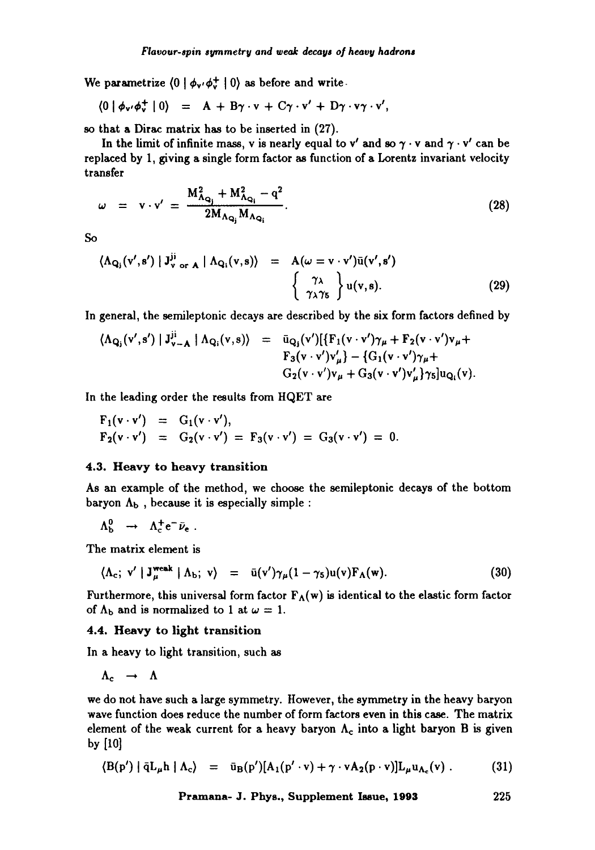We parametrize  $(0 | \phi_{v'} \phi_v^+ | 0)$  as before and write-

$$
\langle 0 | \phi_{\mathbf{v'}} \phi_{\mathbf{v}}^+ | 0 \rangle = A + B \gamma \cdot \mathbf{v} + C \gamma \cdot \mathbf{v'} + D \gamma \cdot \mathbf{v'} \gamma \cdot \mathbf{v'},
$$

so that a Dirac matrix has to be inserted in (27).

In the limit of infinite mass, v is nearly equal to v' and so  $\gamma \cdot v$  and  $\gamma \cdot v'$  can be replaced by 1, giving a single form factor as function of a Lorentz invariant velocity transfer

$$
\omega = \mathbf{v} \cdot \mathbf{v}' = \frac{\mathbf{M}_{\Lambda_{\mathbf{Q}_i}}^2 + \mathbf{M}_{\Lambda_{\mathbf{Q}_i}}^2 - \mathbf{q}^2}{2\mathbf{M}_{\Lambda_{\mathbf{Q}_i}}\mathbf{M}_{\Lambda_{\mathbf{Q}_i}}}.
$$
(28)

$$
_{\rm So}
$$

$$
\langle \Lambda_{\mathbf{Q}_{\mathbf{j}}}(\mathbf{v}',\mathbf{s}') | \mathbf{J}_{\mathbf{v} \text{ or } \mathbf{A}}^{\mathbf{ij}} | \Lambda_{\mathbf{Q}_{\mathbf{i}}}(\mathbf{v},\mathbf{s}) \rangle = A(\omega = \mathbf{v} \cdot \mathbf{v}') \bar{\mathbf{u}}(\mathbf{v}',\mathbf{s}') \left\{ \begin{array}{c} \gamma_{\lambda} \\ \gamma_{\lambda} \gamma_{5} \end{array} \right\} \mathbf{u}(\mathbf{v},\mathbf{s}). \tag{29}
$$

In general, the semileptonic decays are described by the six form factors defined by

$$
\langle \Lambda_{\mathbf{Q}_{\mathbf{j}}}(\mathbf{v}',\mathbf{s}') | J_{\mathbf{v}-\mathbf{A}}^{\mathbf{j}\mathbf{i}} | \Lambda_{\mathbf{Q}_{\mathbf{i}}}(\mathbf{v},\mathbf{s}) \rangle = \bar{\mathbf{u}}_{\mathbf{Q}_{\mathbf{j}}}(\mathbf{v}') [\{ \mathbf{F}_{1}(\mathbf{v} \cdot \mathbf{v}') \gamma_{\mu} + \mathbf{F}_{2}(\mathbf{v} \cdot \mathbf{v}') \mathbf{v}_{\mu} + \\ \mathbf{F}_{3}(\mathbf{v} \cdot \mathbf{v}') \mathbf{v}'_{\mu} \} - \{ \mathbf{G}_{1}(\mathbf{v} \cdot \mathbf{v}') \gamma_{\mu} + \\ \mathbf{G}_{2}(\mathbf{v} \cdot \mathbf{v}') \mathbf{v}_{\mu} + \mathbf{G}_{3}(\mathbf{v} \cdot \mathbf{v}') \mathbf{v}'_{\mu} \} \gamma_{5}] \mathbf{u}_{\mathbf{Q}_{\mathbf{i}}}(\mathbf{v}).
$$

In the leading order the results from HQET are

$$
F_1(v \cdot v') = G_1(v \cdot v'),
$$
  
\n
$$
F_2(v \cdot v') = G_2(v \cdot v') = F_3(v \cdot v') = G_3(v \cdot v') = 0.
$$

## 4.3. Heavy to heavy transition

As an example of the method, we choose the semileptonic decays of the bottom baryon  $\Lambda_b$ , because it is especially simple :

$$
\Lambda_{\rm b}^0 \rightarrow \Lambda_{\rm c}^+ e^- \bar{\nu}_e \; .
$$

The matrix element is

$$
\langle \Lambda_c; \; \mathbf{v}' \; | \; \mathbf{J}^{\text{weak}}_{\mu} \; | \; \Lambda_b; \; \mathbf{v} \rangle \;\; = \;\; \bar{\mathbf{u}}(\mathbf{v}') \gamma_{\mu} (1 - \gamma_5) \mathbf{u}(\mathbf{v}) \mathbf{F}_{\Lambda}(\mathbf{w}). \tag{30}
$$

Furthermore, this universal form factor  $F_A(w)$  is identical to the elastic form factor of  $\Lambda_b$  and is normalized to 1 at  $\omega = 1$ .

## **4.4. Heavy to** light transition

In a heavy to light transition, such as

 $\Lambda_c \rightarrow \Lambda$ 

we do not have such a large symmetry. However, the symmetry in the heavy baryon wave function does reduce the number of form factors even in this case. The matrix element of the weak current for a heavy baryon  $\Lambda_c$  into a light baryon B is given by [10]

$$
\langle B(p') | \bar{q} L_{\mu} h | \Lambda_c \rangle = \bar{u}_B(p') [A_1(p' \cdot v) + \gamma \cdot v A_2(p \cdot v)] L_{\mu} u_{\Lambda_c}(v) . \qquad (31)
$$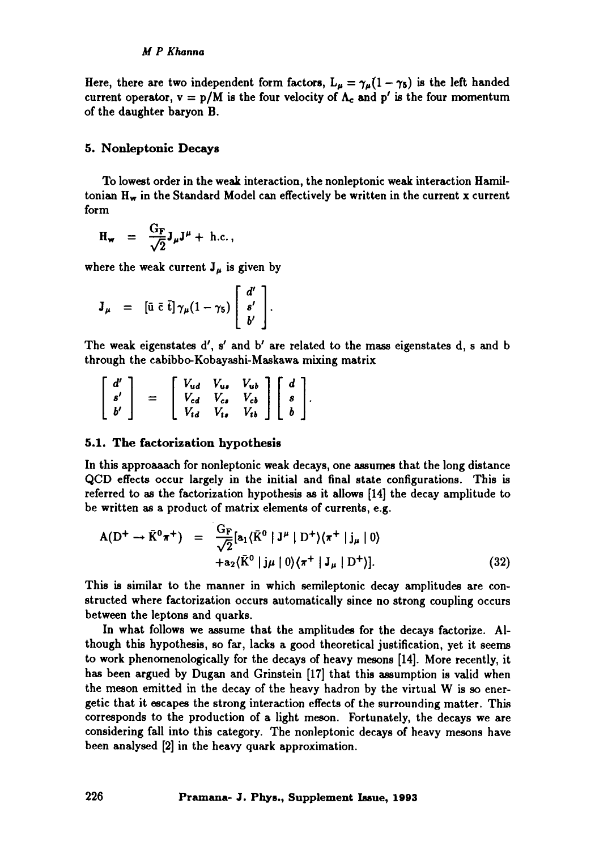Here, there are two independent form factors,  $L_{\mu} = \gamma_{\mu} (1 - \gamma_5)$  is the left handed current operator,  $v = p/M$  is the four velocity of  $\Lambda_c$  and  $p'$  is the four momentum of the daughter baryon B.

## 5. Nonleptonic Decays

To lowest order in the weak interaction, the nonleptonic weak interaction Hamiltonian  $H_w$  in the Standard Model can effectively be written in the current x current form

$$
\mathbf{H}_{\mathbf{w}} = \frac{\mathbf{G}_{\mathbf{F}}}{\sqrt{2}} \mathbf{J}_{\mu} \mathbf{J}^{\mu} + \text{h.c.} \,,
$$

where the weak current  $J_{\mu}$  is given by

$$
\mathbf{J}_{\mu} = [\bar{\mathbf{u}} \bar{\mathbf{c}} \bar{\mathbf{t}}] \gamma_{\mu} (1 - \gamma_5) \begin{bmatrix} d' \\ s' \\ b' \end{bmatrix}.
$$

The weak eigenstates  $d'$ ,  $s'$  and  $b'$  are related to the mass eigenstates  $d$ ,  $s$  and  $b$ through the cabibbo-Kobayashi-Maskawa mixing matrix

$$
\left[\begin{array}{c}d'\\s'\\b'\end{array}\right] = \left[\begin{array}{ccc}V_{ud} & V_{us} & V_{ub}\\V_{cd} & V_{cs} & V_{cb}\\V_{td} & V_{ts} & V_{tb}\end{array}\right] \left[\begin{array}{c}d\\s\\b\end{array}\right].
$$

#### 5.1. The factorization hypothesis

In this approaaach for nonleptonic weak decays, one assumes that the long distance QCD effects occur largely in the initial and final state configurations. This is referred to as the factorization hypothesis as it allows [14] the decay amplitude to be written as a product of matrix elements of currents, e.g.

$$
A(D^+ \rightarrow \bar{K}^0 \pi^+) = \frac{G_F}{\sqrt{2}} [a_1 \langle \bar{K}^0 | J^\mu | D^+ \rangle \langle \pi^+ | j_\mu | 0 \rangle + a_2 \langle \bar{K}^0 | j_\mu | 0 \rangle \langle \pi^+ | J_\mu | D^+ \rangle]. \tag{32}
$$

This is similar to the manner in which semileptonic decay amplitudes are constructed where factorization occurs automatically since no strong coupling occurs between the leptons and quarks.

In what follows we assume that the amplitudes for the decays factorize. Although this hypothesis, so far, lacks a good theoretical justification, yet it seems to work phenomenologically for the decays of heavy mesons [14]. More recently, it has been argued by Dugan and Grinstein [17] that this assumption is valid when the meson emitted in the decay of the heavy hadron by the virtual W is so energetic that it escapes the strong interaction effects of the surrounding matter. This corresponds to the production of a light meson. Fortunately, the decays we are considering fall into this category. The nonleptonic decays of heavy mesons have been analysed [2] in the heavy quark approximation.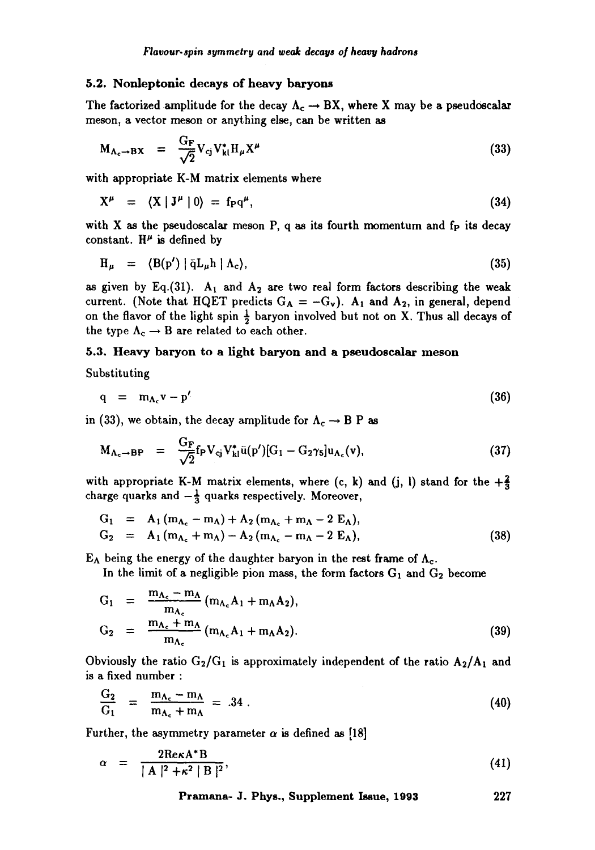#### 5.2. Nonleptonic decays of heavy **baryons**

The factorized amplitude for the decay  $\Lambda_c \rightarrow BX$ , where X may be a pseudoscalar meson, a vector meson or anything else, can be written as

$$
M_{\Lambda_c \to BX} = \frac{G_F}{\sqrt{2}} V_{cj} V_{kl}^* H_{\mu} X^{\mu}
$$
 (33)

with appropriate K-M matrix elements where

$$
X^{\mu} = \langle X | J^{\mu} | 0 \rangle = f_{P} q^{\mu}, \qquad (34)
$$

with  $X$  as the pseudoscalar meson  $P$ , q as its fourth momentum and  $f_P$  its decay constant.  $H^{\mu}$  is defined by

$$
H_{\mu} = \langle B(p') | \bar{q} L_{\mu} h | \Lambda_c \rangle, \qquad (35)
$$

as given by Eq.(31).  $A_1$  and  $A_2$  are two real form factors describing the weak current. (Note that HQET predicts  $G_A = -G_v$ ).  $A_1$  and  $A_2$ , in general, depend on the flavor of the light spin  $\frac{1}{2}$  baryon involved but not on X. Thus all decays of the type  $\Lambda_c \rightarrow B$  are related to each other.

## 5.3. Heavy baryon to a light baryon and a pseudoscalar **meson**

Substituting

$$
q = m_{\Lambda_c} v - p' \tag{36}
$$

in (33), we obtain, the decay amplitude for  $\Lambda_c \rightarrow B$  P as

$$
M_{\Lambda_c \to BP} = \frac{G_F}{\sqrt{2}} f_P V_{cj} V_{kl}^* \bar{u}(p')[G_1 - G_2 \gamma_5] u_{\Lambda_c}(v), \qquad (37)
$$

with appropriate K-M matrix elements, where (c, k) and (j, l) stand for the  $+\frac{2}{3}$ charge quarks and  $-\frac{1}{3}$  quarks respectively. Moreover,

$$
G_1 = A_1 (m_{\Lambda_c} - m_{\Lambda}) + A_2 (m_{\Lambda_c} + m_{\Lambda} - 2 E_{\Lambda}),
$$
  
\n
$$
G_2 = A_1 (m_{\Lambda_c} + m_{\Lambda}) - A_2 (m_{\Lambda_c} - m_{\Lambda} - 2 E_{\Lambda}),
$$
\n(38)

 $E_{\Lambda}$  being the energy of the daughter baryon in the rest frame of  $\Lambda_c$ .

In the limit of a negligible pion mass, the form factors  $G_1$  and  $G_2$  become

$$
G_1 = \frac{m_{\Lambda_c} - m_{\Lambda}}{m_{\Lambda_c}} (m_{\Lambda_c} A_1 + m_{\Lambda} A_2),
$$
  
\n
$$
G_2 = \frac{m_{\Lambda_c} + m_{\Lambda}}{m_{\Lambda_c}} (m_{\Lambda_c} A_1 + m_{\Lambda} A_2).
$$
 (39)

Obviously the ratio  $G_2/G_1$  is approximately independent of the ratio  $A_2/A_1$  and is a fixed number :

$$
\frac{G_2}{G_1} = \frac{m_{\Lambda_c} - m_{\Lambda}}{m_{\Lambda_c} + m_{\Lambda}} = .34 \ . \tag{40}
$$

Further, the asymmetry parameter  $\alpha$  is defined as [18]

$$
\alpha = \frac{2\text{Re}\kappa A^*B}{|A|^2 + \kappa^2 |B|^2},\tag{41}
$$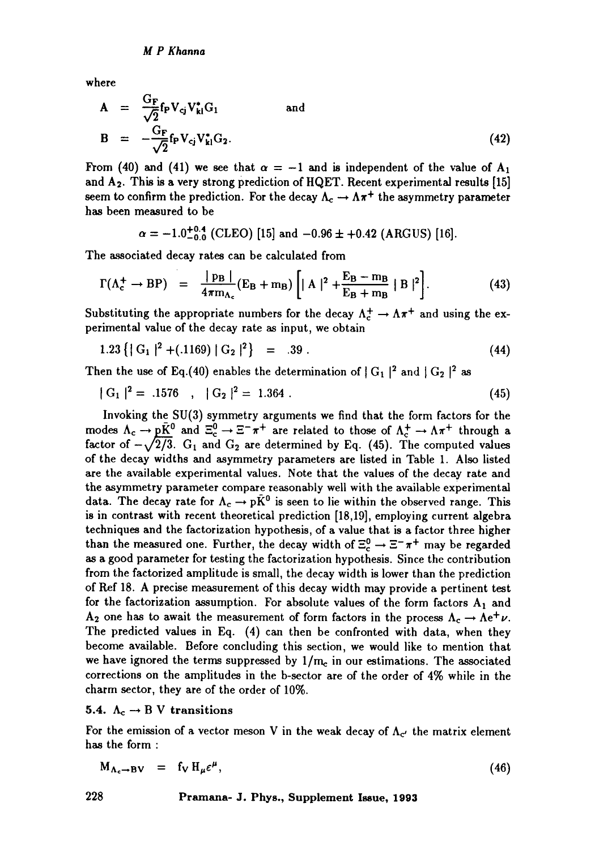where

$$
A = \frac{G_F}{\sqrt{2}} f_P V_{cj} V_{kl}^* G_1
$$
 and  

$$
B = -\frac{G_F}{\sqrt{2}} f_P V_{cj} V_{kl}^* G_2.
$$
 (42)

From (40) and (41) we see that  $\alpha = -1$  and is independent of the value of  $A_1$ and  $A_2$ . This is a very strong prediction of HQET. Recent experimental results [15] seem to confirm the prediction. For the decay  $\Lambda_c \to \Lambda \pi^+$  the asymmetry parameter has been measured to be

$$
\alpha = -1.0^{+0.4}_{-0.0}
$$
 (CLEO) [15] and -0.96 ± +0.42 (ARGUS) [16].

The associated decay rates can be calculated from

$$
\Gamma(\Lambda_c^+ \to \mathrm{BP}) = \frac{|\mathrm{p}_B|}{4\pi m_{\Lambda_c}} (\mathrm{E}_B + \mathrm{m}_B) \left[ |A|^2 + \frac{\mathrm{E}_B - \mathrm{m}_B}{\mathrm{E}_B + \mathrm{m}_B} |B|^2 \right]. \tag{43}
$$

Substituting the appropriate numbers for the decay  $\Lambda_c^+ \to \Lambda \pi^+$  and using the experimental value of the decay rate as input, we obtain

$$
1.23\left\{|\,\mathrm{G}_1\,|^2 + (0.1169)\,|\,\mathrm{G}_2\,|^2\right\} = 0.39\,. \tag{44}
$$

Then the use of Eq.(40) enables the determination of  $|G_1|^2$  and  $|G_2|^2$  as

$$
|\mathcal{G}_1|^2 = .1576 \quad , \quad |\mathcal{G}_2|^2 = 1.364 \; . \tag{45}
$$

Invoking the SU(3) symmetry arguments we find that the form factors for the modes  $\Lambda_c \to pK^0$  and  $\Xi_c^0 \to \Xi^- \pi^+$  are related to those of  $\Lambda_c^+ \to \Lambda \pi^+$  through a factor of  $-\sqrt{2}/3$ . G<sub>1</sub> and G<sub>2</sub> are determined by Eq. (45). The computed values of the decay widths and asymmetry parameters are listed in Table 1. Also listed are the available experimental values. Note that the values of the decay rate and the asymmetry parameter compare reasonably well with the available experimental data. The decay rate for  $\Lambda_c \rightarrow p\tilde{K}^0$  is seen to lie within the observed range. This is in contrast with recent theoretical prediction [18,19], employing current algebra techniques and the factorization hypothesis, of a value that is a factor three higher than the measured one. Further, the decay width of  $\Xi_c^0 \rightarrow \Xi^- \pi^+$  may be regarded as a good parameter for testing the factorization hypothesis. Since the contribution from the factorized amplitude is small, the decay width is lower than the prediction of Ref 18. A precise measurement of this decay width may provide a pertinent test for the factorization assumption. For absolute values of the form factors  $A_1$  and  $A_2$  one has to await the measurement of form factors in the process  $\Lambda_c \rightarrow \Lambda e^+ \nu$ . The predicted values in Eq. (4) can then be confronted with data, when they become available. Before concluding this section, we would like to mention that we have ignored the terms suppressed by  $1/m<sub>c</sub>$  in our estimations. The associated corrections on the amplitudes in the b-sector are of the order of 4% while in the charm sector, they are of the order of 10%.

5.4.  $\Lambda_c \rightarrow B$  V transitions

For the emission of a vector meson V in the weak decay of  $\Lambda_{c'}$  the matrix element has the form :

$$
M_{\Lambda_c \to BV} = f_V H_\mu \varepsilon^\mu, \qquad (46)
$$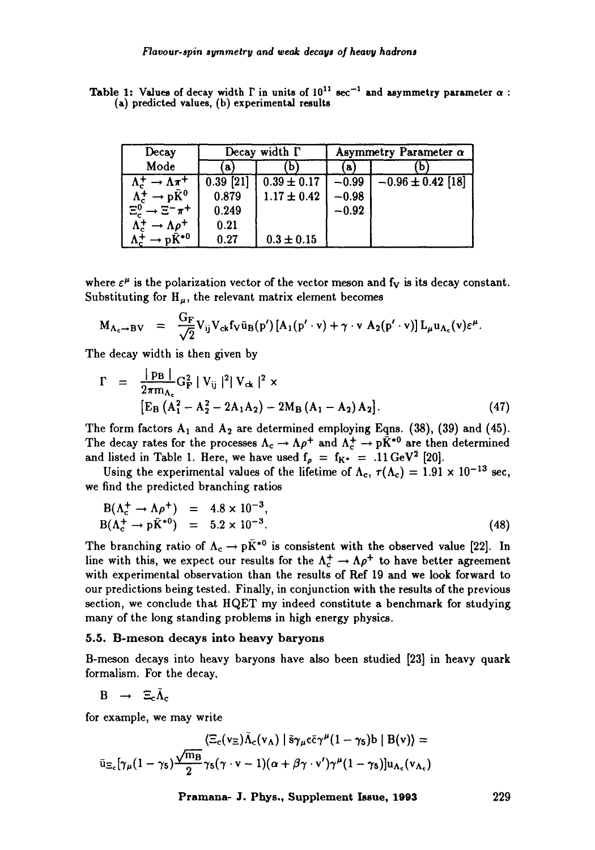| Decay                                                        | Decay width $\Gamma$ |                 | Asymmetry Parameter $\alpha$ |                       |
|--------------------------------------------------------------|----------------------|-----------------|------------------------------|-----------------------|
| Mode                                                         | a                    |                 | a l                          | D                     |
| $\rightarrow \Lambda \overline{\pi}$ +<br>$\Lambda_c^{\tau}$ | $0.39$ [21]          | $0.39 \pm 0.17$ | $-0.99$                      | $-0.96 \pm 0.42$ [18] |
| $\rightarrow$ p $\bar{K}^0$<br>$\Lambda_c^+$                 | 0.879                | $1.17 \pm 0.42$ | $-0.98$                      |                       |
| $\Xi_c^0 \to \Xi^- \pi^+$                                    | 0.249                |                 | $-0.92$                      |                       |
| $\Lambda_c^+$<br>$\rightarrow \Lambda \rho^+$                | 0.21                 |                 |                              |                       |
| $\Lambda_c^+ \rightarrow p\bar{K}^{*0}$                      | 0.27                 | $0.3 \pm 0.15$  |                              |                       |

Table 1: Values of decay width  $\Gamma$  in units of  $10^{11}$  sec<sup>-1</sup> and asymmetry parameter  $\alpha$ : **(a) predicted values, (b) experimental results** 

where  $\varepsilon^{\mu}$  is the polarization vector of the vector meson and f<sub>V</sub> is its decay constant. Substituting for  $H_{\mu}$ , the relevant matrix element becomes

$$
M_{\Lambda_c \to BV} = \frac{G_F}{\sqrt{2}} V_{ij} V_{ck} f_V \bar{u}_B(p') [A_1(p' \cdot v) + \gamma \cdot v A_2(p' \cdot v)] L_\mu u_{\Lambda_c}(v) \varepsilon^\mu.
$$

The decay width is then given by

$$
\Gamma = \frac{|\text{PB}|}{2\pi m_{A_c}} G_{\text{F}}^2 |V_{ij}|^2 |V_{ck}|^2 \times
$$
  
\n
$$
[\text{E}_{\text{B}} (A_1^2 - A_2^2 - 2A_1A_2) - 2M_{\text{B}} (A_1 - A_2) A_2].
$$
 (47)

The form factors  $A_1$  and  $A_2$  are determined employing Eqns. (38), (39) and (45). The decay rates for the processes  $\Lambda_c \to \Lambda \rho^+$  and  $\Lambda_c^+ \to p\dot{\bar{K}}^{*0}$  are then determined and listed in Table 1. Here, we have used  $f_p = f_{K^*} = .11 \text{ GeV}^2$  [20].

Using the experimental values of the lifetime of  $\Lambda_c$ ,  $\tau(\Lambda_c) = 1.91 \times 10^{-13}$  sec, we find the predicted branching ratios

$$
B(\Lambda_c^+ \to \Lambda \rho^+) = 4.8 \times 10^{-3}, B(\Lambda_c^+ \to p\bar{K}^{*0}) = 5.2 \times 10^{-3}.
$$
 (48)

The branching ratio of  $\Lambda_c \rightarrow p\bar{K}^{*0}$  is consistent with the observed value [22]. In line with this, we expect our results for the  $\Lambda_c^+ \to \Lambda \rho^+$  to have better agreement with experimental observation than the results of Ref 19 and we look forward to our predictions being tested. Finally, in conjunction with the results of the previous section, we conclude that HQET my indeed constitute a benchmark for studying many of the long standing problems in high energy physics.

#### 5.5. B-meson decays into heavy baryons

B-meson decays into heavy baryons have also been studied [23] in heavy quark formalism. For the decay,

 $B \rightarrow \Xi_c \tilde{\Lambda}_c$ 

for example, we may write

$$
\langle \Xi_c(v_\Xi) \tilde{\Lambda}_c(v_\Lambda) | \tilde{s} \gamma_\mu c \tilde{c} \gamma^\mu (1 - \gamma_5) b | B(v) \rangle =
$$
  

$$
\tilde{u}_{\Xi_c}[\gamma_\mu (1 - \gamma_5) \frac{\sqrt{m_B}}{2} \gamma_5 (\gamma \cdot v - 1) (\alpha + \beta \gamma \cdot v') \gamma^\mu (1 - \gamma_5) ] u_{\Lambda_c}(v_{\Lambda_c})
$$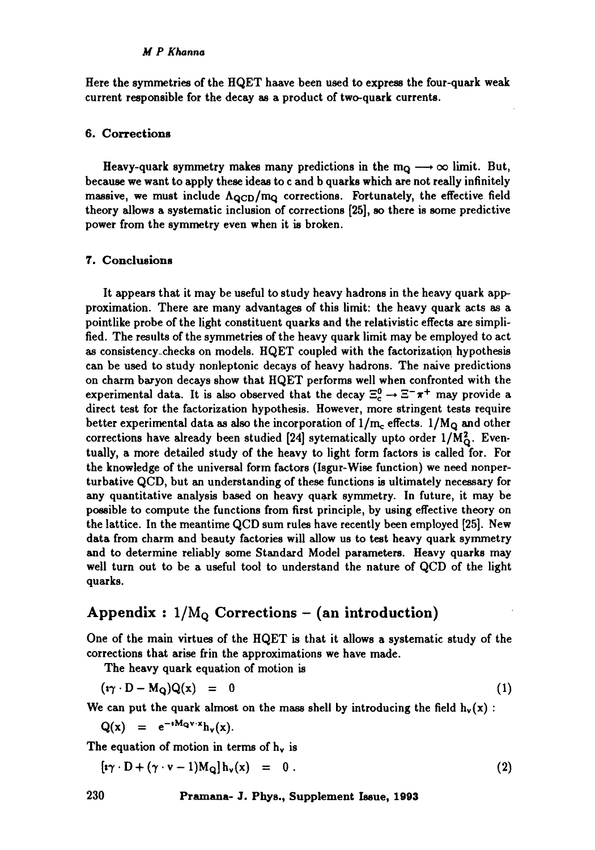#### *M P Khanna*

Here the symmetries of the  $HQET$  haave been used to express the four-quark weak current responsible for the decay as a product of two-quark currents.

#### 6. Corrections

Heavy-quark symmetry makes many predictions in the  $m_Q \longrightarrow \infty$  limit. But, because we want to apply these ideas to c and b quarks which are not really infinitely massive, we must include  $\Lambda_{\rm QCD}/m_Q$  corrections. Fortunately, the effective field theory allows a systematic inclusion of corrections [25], so there is some predictive power from the symmetry even when it is broken.

## **7. Conclusions**

It appears that it may be useful to study heavy hadrons in the heavy quark appproximation. There are many advantages of this limit: the heavy quark acts as a pointlike probe of the light constituent quarks and the relativistic effects are simplified. The results of the symmetries of the heavy quark limit may be employed to act as consistency\_checks on models. HQET coupled with the factorization hypothesis can be used to study nonleptonic decays of heavy hadrons. The naive predictions on charm baryon decays show that HQET performs well when confronted with the experimental data. It is also observed that the decay  $\Xi_c^0 \to \Xi^- \pi^+$  may provide a direct test for the factorization hypothesis. However, more stringent tests require better experimental data as also the incorporation of  $1/m_c$  effects.  $1/M_Q$  and other corrections have already been studied [24] sytematically upto order  $1/M_{\odot}^2$ . Eventually, a more detailed study of the heavy to light form factors is called for. For the knowledge of the universal form factors (Isgur-Wise function) we need nonperturbative QCD, but an understanding of these functions is ultimately necessary for any quantitative analysis based on heavy quark symmetry. In future, it may be possible to compute the functions from first principle, by using effective theory on the lattice. In the meantime QCD sum rules have recently been employed [25]. New data from charm and beauty factories will allow us to test heavy quark symmetry and to determine reliably some Standard Model parameters. Heavy quarks may well turn out to be a useful tool to understand the nature of QCD of the light quarks.

# Appendix :  $1/M<sub>o</sub>$  Corrections – (an introduction)

One of the main virtues of the HQET is that it allows a systematic study of the corrections that arise frin the approximations we have made.

**The** heavy quark equation of motion is

$$
(\mathbf{i}\gamma \cdot \mathbf{D} - \mathbf{M}_{\mathbf{Q}})\mathbf{Q}(\mathbf{x}) = 0 \tag{1}
$$

We can put the quark almost on the mass shell by introducing the field  $h_v(x)$ :

$$
Q(x) = e^{-tM_Q v \cdot x} h_v(x).
$$

The equation of motion in terms of  $h_v$  is

 $\left[\mathbf{i}\gamma\cdot\mathbf{D}+(\gamma\cdot\mathbf{v}-1)\mathbf{M}_{\mathbf{Q}}\right]\mathbf{h}_{\mathbf{v}}(\mathbf{x}) = 0.$  (2)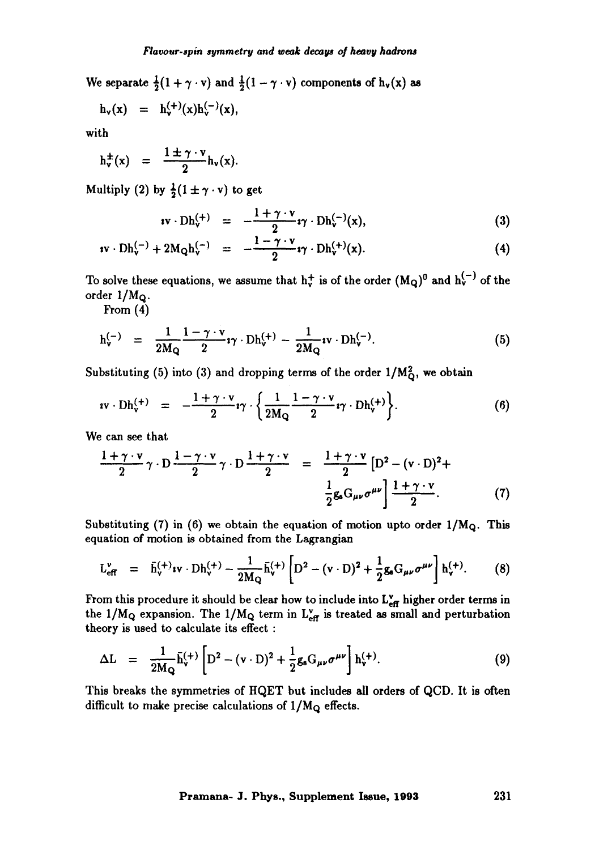We separate  $\frac{1}{2}(1 + \gamma \cdot v)$  and  $\frac{1}{2}(1 - \gamma \cdot v)$  components of  $h_v(x)$  as

$$
h_v(x) = h_v^{(+)}(x)h_v^{(-)}(x),
$$

with

 $h_x^{\pm}(x) = \frac{1 \pm 7.9}{1 \cdot 7.0}h_y(x)$ . **2** 

Multiply (2) by  $\frac{1}{2}(1 \pm \gamma \cdot v)$  to get

$$
i\mathbf{v}\cdot\mathbf{D}\mathbf{h}_{\mathbf{v}}^{(+)} = -\frac{1+\gamma\cdot\mathbf{v}}{2}\mathbf{i}\gamma\cdot\mathbf{D}\mathbf{h}_{\mathbf{v}}^{(-)}(\mathbf{x}), \qquad (3)
$$

$$
\mathbf{iv} \cdot \mathrm{Dh}_{\mathbf{v}}^{(-)} + 2\mathrm{M}_{\mathbf{Q}} \mathrm{h}_{\mathbf{v}}^{(-)} = -\frac{1 - \gamma \cdot \mathbf{v}}{2} \mathbf{i}\gamma \cdot \mathrm{Dh}_{\mathbf{v}}^{(+)}(\mathbf{x}). \tag{4}
$$

To solve these equations, we assume that  $h_v^+$  is of the order  $(M_Q)^0$  and  $h_v^{(-)}$  of the order  $1/M<sub>Q</sub>$ .

From (4)

$$
h_v^{(-)} = \frac{1}{2M_Q} \frac{1 - \gamma \cdot v}{2} \mathbf{i} \gamma \cdot Dh_v^{(+)} - \frac{1}{2M_Q} \mathbf{i} v \cdot Dh_v^{(-)}.
$$
 (5)

Substituting (5) into (3) and dropping terms of the order  $1/M<sub>0</sub><sup>2</sup>$ , we obtain

$$
i\mathbf{v}\cdot\mathbf{D}\mathbf{h}_{\mathbf{v}}^{(+)} = -\frac{1+\gamma\cdot\mathbf{v}}{2}i\gamma\cdot\left\{\frac{1}{2M_{\mathbf{Q}}}\frac{1-\gamma\cdot\mathbf{v}}{2}i\gamma\cdot\mathbf{D}\mathbf{h}_{\mathbf{v}}^{(+)}\right\}.
$$
 (6)

We can see that

$$
\frac{1+\gamma\cdot v}{2}\gamma\cdot D\frac{1-\gamma\cdot v}{2}\gamma\cdot D\frac{1+\gamma\cdot v}{2} = \frac{1+\gamma\cdot v}{2}\left[D^2-(v\cdot D)^2+\frac{1}{2}g_sG_{\mu\nu}\sigma^{\mu\nu}\right]\frac{1+\gamma\cdot v}{2}.
$$
 (7)

Substituting (7) in (6) we obtain the equation of motion upto order  $1/M_Q$ . This equation of motion is obtained from the Lagrangian

$$
L_{eff}^{v} = \bar{h}_{v}^{(+)}iv \cdot Dh_{v}^{(+)} - \frac{1}{2M_{Q}}\bar{h}_{v}^{(+)} \left[D^{2} - (v \cdot D)^{2} + \frac{1}{2}g_{s}G_{\mu\nu}\sigma^{\mu\nu}\right]h_{v}^{(+)}.
$$
 (8)

From this procedure it should be clear how to include into  $L_{\text{eff}}^{\text{v}}$  higher order terms in the  $1/M_Q$  expansion. The  $1/M_Q$  term in  $L_{\text{eff}}^v$  is treated as small and perturbation theory is used to calculate its effect :

$$
\Delta L = \frac{1}{2M_Q} \bar{h}_v^{(+)} \left[ D^2 - (v \cdot D)^2 + \frac{1}{2} g_s G_{\mu\nu} \sigma^{\mu\nu} \right] h_v^{(+)}. \tag{9}
$$

This breaks the symmetries of HQET but includes all orders of QCD. It is often difficult to make precise calculations of  $1/M_Q$  effects.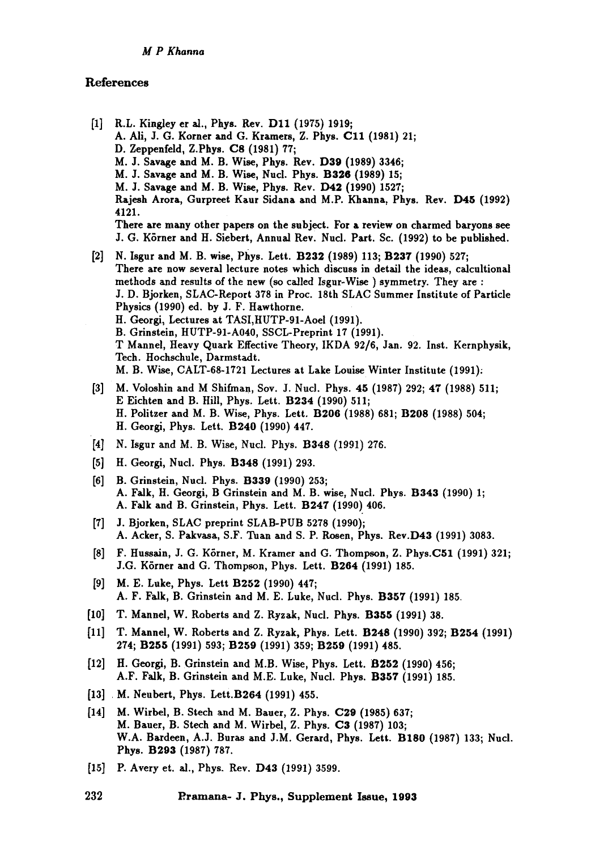## References

- [1] R.L. Kingley er al., Phys. Rev. D11 (1975) 1919; A. Ali, J. G. Korner and G. Kramers, Z. Phys. C11 (1981) 21; D. Zeppenfeld, Z.Phys. C8 (1981) 77; M. J. Savage and M. B. Wise, Phys. Rev. D39 (1989) 3346; M. J. Savage and M. B. Wise, Nucl. Phys. B326 (1989) 15; M. J. Savage and M. B. Wise, Phys. Rev. D42 (1990) 1527; Rajesh Arora, Gurpreet Kaur Sidana and M.P. Khanna, Phys. Rev. D45 (1992) 4121. There are many other papers on the subject. For a review on charmed baryons see J. G. KSrner and H. Siebert, Annual Rev. Nucl. Part. Sc. (1992) to be published.
- [2] N. Isgur and M. B. wise, Phys. Lett. B232 (1989) 113; B237 (1990) 527; There are now several lecture notes which discuss in detail the ideas, calcultional methods and results of the new (so called Isgur-Wise ) symmetry. They are : J. D. Bjorken, SLAC-Report 378 in Proc. 18th SLAC Summer Institute of Particle Physics (1990) ed. by J. F. Hawthorne. H. Georgi, Lectures at TASI,HUTP-91-Aoel (1991). B. Grinstein, HUTP-91-A040, SSCL-Preprint 17 (1991). T Mannel, Heavy Quark Effective Theory, IKDA 92/6, Jan. 92. Inst. Kernphysik, Tech. Hochschule, Darmstadt. M. B. Wise, CALT-68-1721 Lectures at Lake Louise Winter Institute (1991).
- [3] M. Voloshin and M Shifman, Sov. J. Nuci. Phys. 45 (1987) 292; 47 (1988) 511; E Eichten and B. Hill, Phys. Lett. B234 (1990) 511; H. Politzer and M. B. Wise, Phys. Lett. B206 (1988) 681; B208 (1988) 504; H. Georgi, Phys. Lett. B240 (1990) 447.
- [4] N. Isgur and M. B. Wise, Nucl. Phys. B348 (1991) 276.
- [5] H. Georgi, Nucl. Phys. B348 (1991) 293.
- [6] B. Grinstein, Nucl. Phys. B339 (1990) 253; A. Falk, H. Georgi, B Grinstein and M. B. wise, Nucl. Phys. B343 (1990) 1; A. FaJk and B. Grinstein, Phys. Lett. B247 (1990) 406.
- [7] J. Bjorken, SLAC preprint SLAB-PUB 5278 (1990); A. Acker, S. Pakvasa, S.F. Tuan and S. P. Rosen, Phys. Rev.D43 (1991) 3083.
- [8] F. Hussain, J. G. K6rner, M. Kramer and G. Thompson, Z. Phys.C51 (1991) 321; J.G. Körner and G. Thompson, Phys. Lett. B264 (1991) 185.
- [9] M.E. Luke, Phys. Lett B252 (1990) 447; A. F. FaJk, B. Grinstein and M. E. Luke, Nucl. Phys. B357 (1991) 185.
- [10] T. Mannel, W. Roberts and Z. Ryzak, Nucl. Phys. B355 (1991) 38.
- [11] T. Mannel, W. Roberts and Z. Ryzak, Phys. Lett. B248 (1990) 392; B254 (1991) 274; B255 (1991) 593; B259 (1991) 359; B259 (1991) 485.
- [12] H. Georgi, B. Grinstein and M.B. Wise, Phys. Lett. B252 (1990) 456; A.F. Falk, B. Grinstein and M.E. Luke, Nucl. Phys. B357 (1991) 185.
- [13] M. Neubert, Phys. Lett.B264 (1991) 455.
- [14] M. Wirbel, B. Stech and M. Bauer, Z. Phys. C29 (1985) 637; M. Bauer, B. Stech and M. Wirbel, Z. Phys. C3 (1987) 103; W.A. Bardeen, A.J. Buras and J.M. Gerard, Phys. Lett. B180 (1987) 133; Nucl. Phys. B293 (1987) 787.
- **[15]**  P. Avery et. al., Phys. Rev. D43 (1991) 3599.